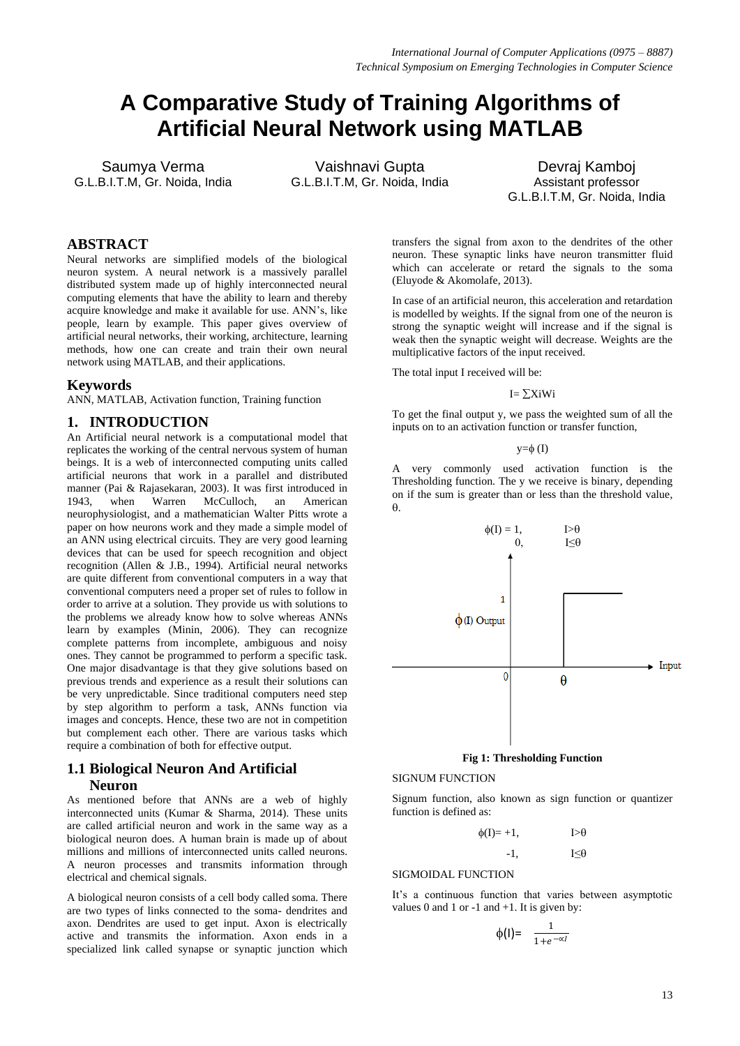# **A Comparative Study of Training Algorithms of Artificial Neural Network using MATLAB**

Saumya Verma G.L.B.I.T.M, Gr. Noida, India

Vaishnavi Gupta G.L.B.I.T.M, Gr. Noida, India

Devraj Kamboj Assistant professor G.L.B.I.T.M, Gr. Noida, India

## **ABSTRACT**

Neural networks are simplified models of the biological neuron system. A neural network is a massively parallel distributed system made up of highly interconnected neural computing elements that have the ability to learn and thereby acquire knowledge and make it available for use. ANN's, like people, learn by example. This paper gives overview of artificial neural networks, their working, architecture, learning methods, how one can create and train their own neural network using MATLAB, and their applications.

#### **Keywords**

ANN, MATLAB, Activation function, Training function

#### **1. INTRODUCTION**

An Artificial neural network is a computational model that replicates the working of the central nervous system of human beings. It is a web of interconnected computing units called artificial neurons that work in a parallel and distributed manner (Pai & Rajasekaran, 2003). It was first introduced in 1943, when Warren McCulloch, an American neurophysiologist, and a mathematician Walter Pitts wrote a paper on how neurons work and they made a simple model of an ANN using electrical circuits. They are very good learning devices that can be used for speech recognition and object recognition (Allen & J.B., 1994). Artificial neural networks are quite different from conventional computers in a way that conventional computers need a proper set of rules to follow in order to arrive at a solution. They provide us with solutions to the problems we already know how to solve whereas ANNs learn by examples (Minin, 2006). They can recognize complete patterns from incomplete, ambiguous and noisy ones. They cannot be programmed to perform a specific task. One major disadvantage is that they give solutions based on previous trends and experience as a result their solutions can be very unpredictable. Since traditional computers need step by step algorithm to perform a task, ANNs function via images and concepts. Hence, these two are not in competition but complement each other. There are various tasks which require a combination of both for effective output.

# **1.1 Biological Neuron And Artificial Neuron**

As mentioned before that ANNs are a web of highly interconnected units (Kumar & Sharma, 2014). These units are called artificial neuron and work in the same way as a biological neuron does. A human brain is made up of about millions and millions of interconnected units called neurons. A neuron processes and transmits information through electrical and chemical signals.

A biological neuron consists of a cell body called soma. There are two types of links connected to the soma- dendrites and axon. Dendrites are used to get input. Axon is electrically active and transmits the information. Axon ends in a specialized link called synapse or synaptic junction which

transfers the signal from axon to the dendrites of the other neuron. These synaptic links have neuron transmitter fluid which can accelerate or retard the signals to the soma (Eluyode & Akomolafe, 2013).

In case of an artificial neuron, this acceleration and retardation is modelled by weights. If the signal from one of the neuron is strong the synaptic weight will increase and if the signal is weak then the synaptic weight will decrease. Weights are the multiplicative factors of the input received.

The total input I received will be:

#### $I = \sum$ XiWi

To get the final output y, we pass the weighted sum of all the inputs on to an activation function or transfer function,

 $v = \phi$  (I)

A very commonly used activation function is the Thresholding function. The y we receive is binary, depending on if the sum is greater than or less than the threshold value,  $\theta$ 



**Fig 1: Thresholding Function**

#### SIGNUM FUNCTION

Signum function, also known as sign function or quantizer function is defined as:

> $\phi(I) = +1,$  I> $\theta$  $-I$ ,  $I<\theta$

#### SIGMOIDAL FUNCTION

It's a continuous function that varies between asymptotic values 0 and 1 or -1 and  $+1$ . It is given by:

$$
\phi(\mathsf{I}) = \frac{1}{1+e^{-\alpha I}}
$$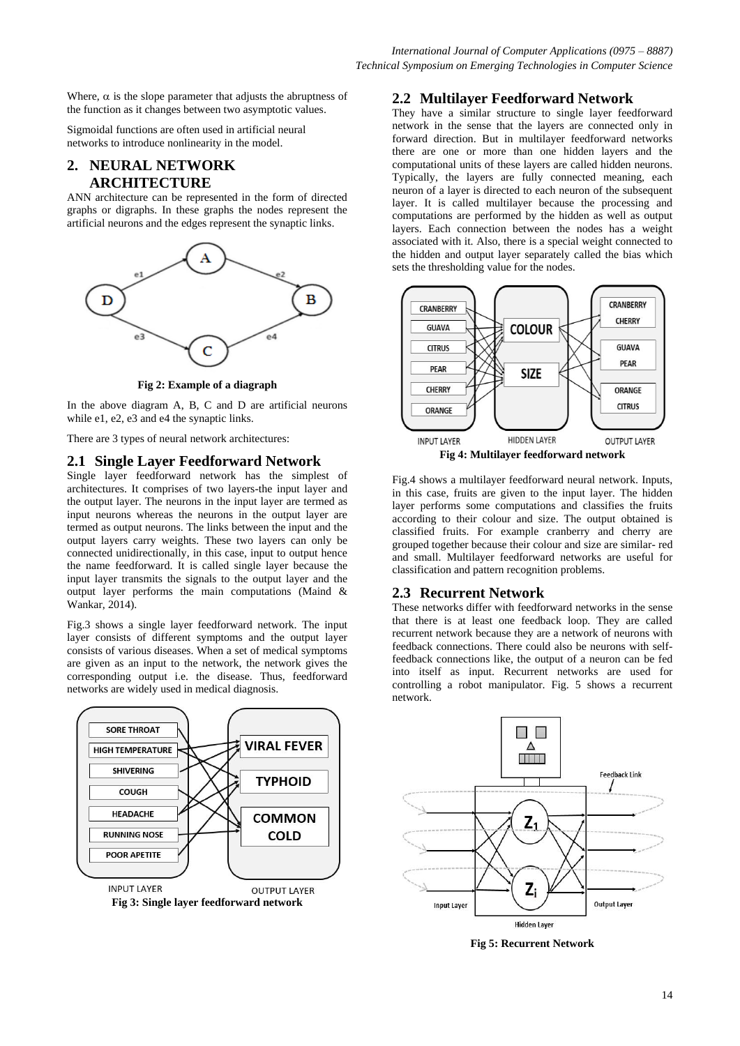Where,  $\alpha$  is the slope parameter that adjusts the abruptness of the function as it changes between two asymptotic values.

Sigmoidal functions are often used in artificial neural networks to introduce nonlinearity in the model.

# **2. NEURAL NETWORK ARCHITECTURE**

ANN architecture can be represented in the form of directed graphs or digraphs. In these graphs the nodes represent the artificial neurons and the edges represent the synaptic links.



**Fig 2: Example of a diagraph**

In the above diagram A, B, C and D are artificial neurons while e1, e2, e3 and e4 the synaptic links.

There are 3 types of neural network architectures:

#### **2.1 Single Layer Feedforward Network**

Single layer feedforward network has the simplest of architectures. It comprises of two layers-the input layer and the output layer. The neurons in the input layer are termed as input neurons whereas the neurons in the output layer are termed as output neurons. The links between the input and the output layers carry weights. These two layers can only be connected unidirectionally, in this case, input to output hence the name feedforward. It is called single layer because the input layer transmits the signals to the output layer and the output layer performs the main computations (Maind & Wankar, 2014).

Fig.3 shows a single layer feedforward network. The input layer consists of different symptoms and the output layer consists of various diseases. When a set of medical symptoms are given as an input to the network, the network gives the corresponding output i.e. the disease. Thus, feedforward networks are widely used in medical diagnosis.





They have a similar structure to single layer feedforward network in the sense that the layers are connected only in forward direction. But in multilayer feedforward networks there are one or more than one hidden layers and the computational units of these layers are called hidden neurons. Typically, the layers are fully connected meaning, each neuron of a layer is directed to each neuron of the subsequent layer. It is called multilayer because the processing and computations are performed by the hidden as well as output layers. Each connection between the nodes has a weight associated with it. Also, there is a special weight connected to the hidden and output layer separately called the bias which sets the thresholding value for the nodes.



Fig.4 shows a multilayer feedforward neural network. Inputs, in this case, fruits are given to the input layer. The hidden layer performs some computations and classifies the fruits according to their colour and size. The output obtained is classified fruits. For example cranberry and cherry are grouped together because their colour and size are similar- red and small. Multilayer feedforward networks are useful for classification and pattern recognition problems.

### **2.3 Recurrent Network**

These networks differ with feedforward networks in the sense that there is at least one feedback loop. They are called recurrent network because they are a network of neurons with feedback connections. There could also be neurons with selffeedback connections like, the output of a neuron can be fed into itself as input. Recurrent networks are used for controlling a robot manipulator. Fig. 5 shows a recurrent network.



**Fig 5: Recurrent Network**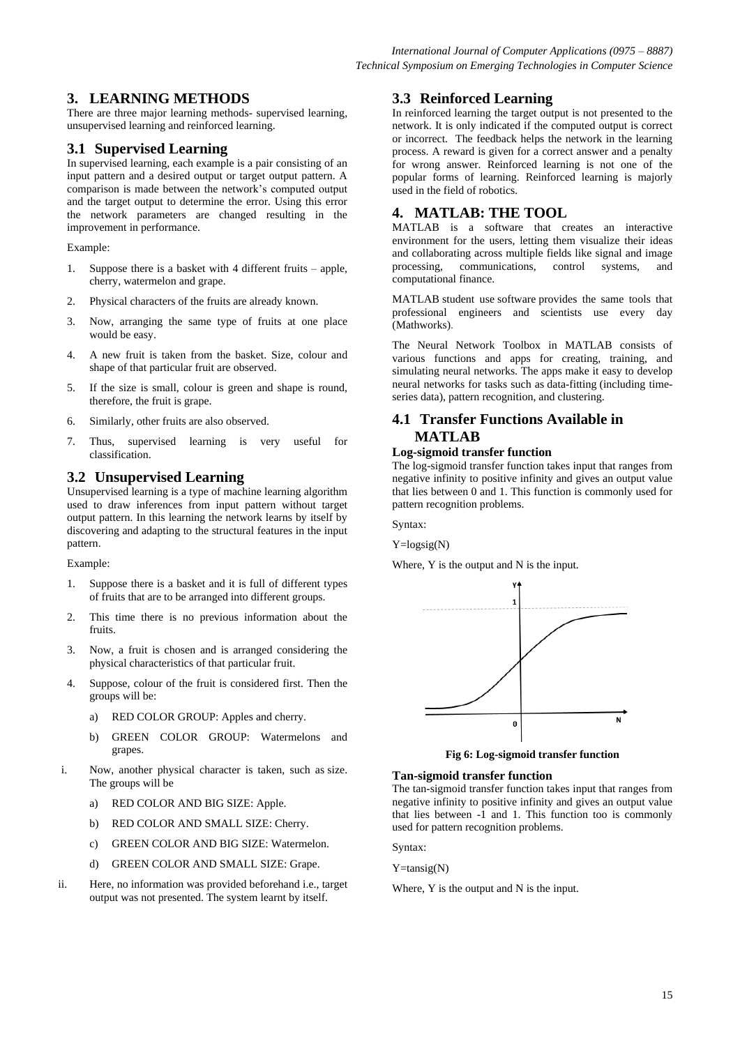# **3. LEARNING METHODS**

There are three major learning methods- supervised learning, unsupervised learning and reinforced learning.

## **3.1 Supervised Learning**

In supervised learning, each example is a pair consisting of an input pattern and a desired output or target output pattern. A comparison is made between the network's computed output and the target output to determine the error. Using this error the network parameters are changed resulting in the improvement in performance.

Example:

- 1. Suppose there is a basket with 4 different fruits apple, cherry, watermelon and grape.
- 2. Physical characters of the fruits are already known.
- 3. Now, arranging the same type of fruits at one place would be easy.
- 4. A new fruit is taken from the basket. Size, colour and shape of that particular fruit are observed.
- 5. If the size is small, colour is green and shape is round, therefore, the fruit is grape.
- 6. Similarly, other fruits are also observed.
- 7. Thus, supervised learning is very useful for classification.

#### **3.2 Unsupervised Learning**

Unsupervised learning is a type of machine learning algorithm used to draw inferences from input pattern without target output pattern. In this learning the network learns by itself by discovering and adapting to the structural features in the input pattern.

Example:

- 1. Suppose there is a basket and it is full of different types of fruits that are to be arranged into different groups.
- 2. This time there is no previous information about the fruits.
- 3. Now, a fruit is chosen and is arranged considering the physical characteristics of that particular fruit.
- 4. Suppose, colour of the fruit is considered first. Then the groups will be:
	- a) RED COLOR GROUP: Apples and cherry.
	- b) GREEN COLOR GROUP: Watermelons and grapes.
- i. Now, another physical character is taken, such as size. The groups will be
	- a) RED COLOR AND BIG SIZE: Apple.
	- b) RED COLOR AND SMALL SIZE: Cherry.
	- c) GREEN COLOR AND BIG SIZE: Watermelon.
	- d) GREEN COLOR AND SMALL SIZE: Grape.
- ii. Here, no information was provided beforehand i.e., target output was not presented. The system learnt by itself.

## **3.3 Reinforced Learning**

In reinforced learning the target output is not presented to the network. It is only indicated if the computed output is correct or incorrect. The feedback helps the network in the learning process. A reward is given for a correct answer and a penalty for wrong answer. Reinforced learning is not one of the popular forms of learning. Reinforced learning is majorly used in the field of robotics.

## **4. MATLAB: THE TOOL**

MATLAB is a software that creates an interactive environment for the users, letting them visualize their ideas and collaborating across multiple fields like signal and image processing, communications, control systems, and computational finance.

MATLAB student use software provides the same tools that professional engineers and scientists use every day (Mathworks).

The Neural Network Toolbox in MATLAB consists of various functions and apps for creating, training, and simulating neural networks. The apps make it easy to develop neural networks for tasks such as data-fitting (including timeseries data), pattern recognition, and clustering.

# **4.1 Transfer Functions Available in MATLAB**

#### **Log-sigmoid transfer function**

The log-sigmoid transfer function takes input that ranges from negative infinity to positive infinity and gives an output value that lies between 0 and 1. This function is commonly used for pattern recognition problems.

Syntax:



Where, Y is the output and N is the input.



**Fig 6: Log-sigmoid transfer function**

#### **Tan-sigmoid transfer function**

The tan-sigmoid transfer function takes input that ranges from negative infinity to positive infinity and gives an output value that lies between -1 and 1. This function too is commonly used for pattern recognition problems.

Syntax:

Y=tansig(N)

Where, Y is the output and N is the input.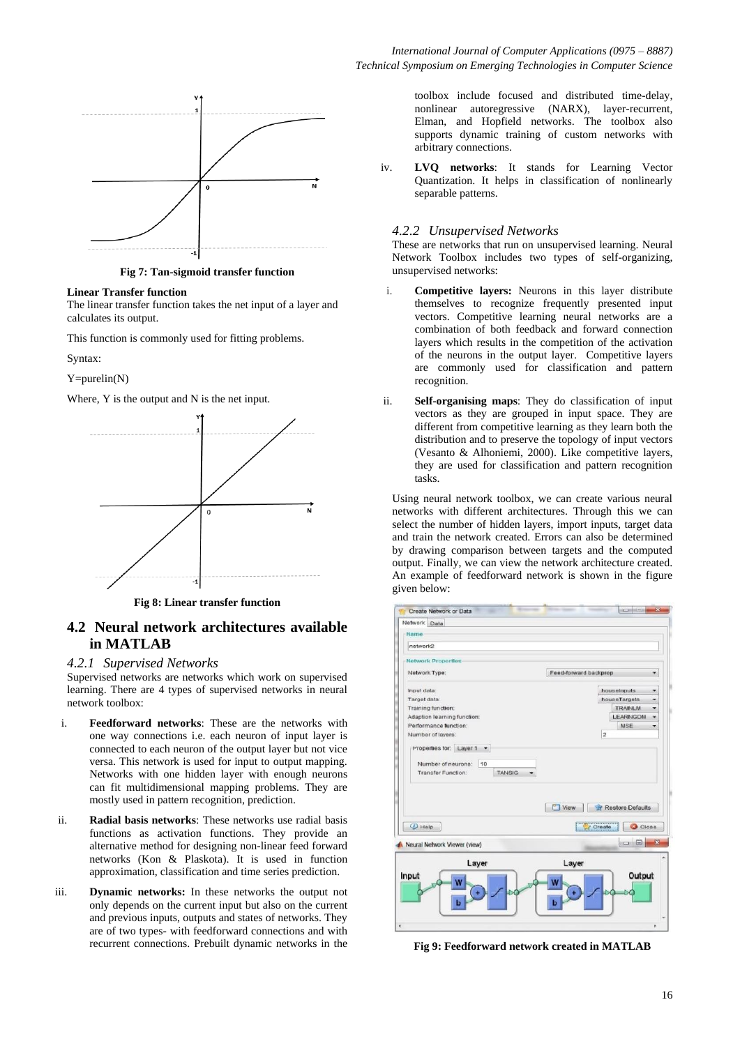

**Fig 7: Tan-sigmoid transfer function**

#### **Linear Transfer function**

The linear transfer function takes the net input of a layer and calculates its output.

This function is commonly used for fitting problems.

Syntax:

 $Y=purelin(N)$ 

Where, Y is the output and N is the net input.



**Fig 8: Linear transfer function**

## **4.2 Neural network architectures available in MATLAB**

#### *4.2.1 Supervised Networks*

Supervised networks are networks which work on supervised learning. There are 4 types of supervised networks in neural network toolbox:

- i. **Feedforward networks**: These are the networks with one way connections i.e. each neuron of input layer is connected to each neuron of the output layer but not vice versa. This network is used for input to output mapping. Networks with one hidden layer with enough neurons can fit multidimensional mapping problems. They are mostly used in pattern recognition, prediction.
- ii. **Radial basis networks**: These networks use radial basis functions as activation functions. They provide an alternative method for designing non-linear feed forward networks (Kon & Plaskota). It is used in function approximation, classification and time series prediction.
- iii. **Dynamic networks:** In these networks the output not only depends on the current input but also on the current and previous inputs, outputs and states of networks. They are of two types- with feedforward connections and with recurrent connections. Prebuilt dynamic networks in the

toolbox include focused and distributed time-delay, nonlinear autoregressive (NARX), layer-recurrent, Elman, and Hopfield networks. The toolbox also supports dynamic training of custom networks with arbitrary connections.

iv. **LVQ networks**: It stands for Learning Vector Quantization. It helps in classification of nonlinearly separable patterns.

#### *4.2.2 Unsupervised Networks*

These are networks that run on unsupervised learning. Neural Network Toolbox includes two types of self-organizing, unsupervised networks:

- i. **Competitive layers:** Neurons in this layer distribute themselves to recognize frequently presented input vectors. Competitive learning neural networks are a combination of both feedback and forward connection layers which results in the competition of the activation of the neurons in the output layer. Competitive layers are commonly used for classification and pattern recognition.
- ii. **Self-organising maps**: They do classification of input vectors as they are grouped in input space. They are different from competitive learning as they learn both the distribution and to preserve the topology of input vectors (Vesanto & Alhoniemi, 2000). Like competitive layers, they are used for classification and pattern recognition tasks.

Using neural network toolbox, we can create various neural networks with different architectures. Through this we can select the number of hidden layers, import inputs, target data and train the network created. Errors can also be determined by drawing comparison between targets and the computed output. Finally, we can view the network architecture created. An example of feedforward network is shown in the figure given below:



**Fig 9: Feedforward network created in MATLAB**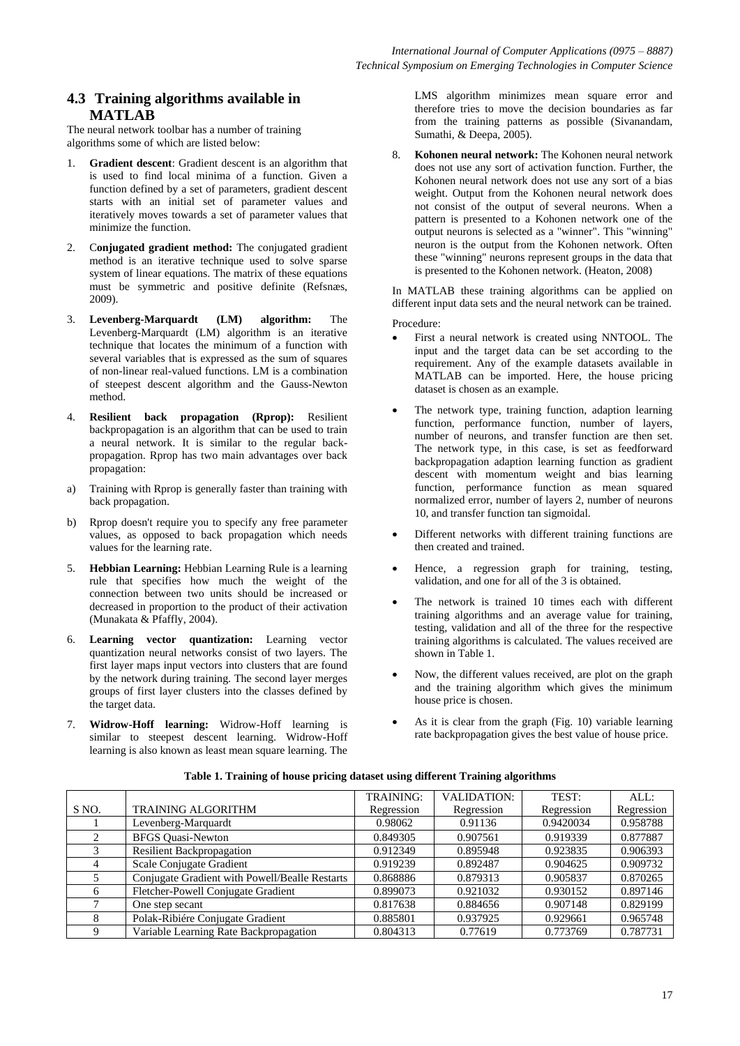# **4.3 Training algorithms available in MATLAB**

The neural network toolbar has a number of training algorithms some of which are listed below:

- 1. **Gradient descent**: Gradient descent is an algorithm that is used to find local minima of a function. Given a function defined by a set of parameters, gradient descent starts with an initial set of parameter values and iteratively moves towards a set of parameter values that minimize the function.
- 2. C**onjugated gradient method:** The conjugated gradient method is an iterative technique used to solve sparse system of linear equations. The matrix of these equations must be symmetric and positive definite (Refsnæs, 2009).
- 3. **Levenberg-Marquardt (LM) algorithm:** The Levenberg-Marquardt (LM) algorithm is an iterative technique that locates the minimum of a function with several variables that is expressed as the sum of squares of non-linear real-valued functions. LM is a combination of steepest descent algorithm and the Gauss-Newton method.
- 4. **Resilient back propagation (Rprop):** Resilient backpropagation is an algorithm that can be used to train a neural network. It is similar to the regular backpropagation. Rprop has two main advantages over back propagation:
- a) Training with Rprop is generally faster than training with back propagation.
- b) Rprop doesn't require you to specify any free parameter values, as opposed to back propagation which needs values for the learning rate.
- 5. **Hebbian Learning:** Hebbian Learning Rule is a learning rule that specifies how much the weight of the connection between two units should be increased or decreased in proportion to the product of their activation (Munakata & Pfaffly, 2004).
- 6. **Learning vector quantization:** Learning vector quantization neural networks consist of two layers. The first layer maps input vectors into clusters that are found by the network during training. The second layer merges groups of first layer clusters into the classes defined by the target data.
- 7. **Widrow-Hoff learning:** Widrow-Hoff learning is similar to steepest descent learning. Widrow-Hoff learning is also known as least mean square learning. The

LMS algorithm minimizes mean square error and therefore tries to move the decision boundaries as far from the training patterns as possible (Sivanandam, Sumathi, & Deepa, 2005).

8. **Kohonen neural network:** The Kohonen neural network does not use any sort of activation function. Further, the Kohonen neural network does not use any sort of a bias weight. Output from the Kohonen neural network does not consist of the output of several neurons. When a pattern is presented to a Kohonen network one of the output neurons is selected as a "winner". This "winning" neuron is the output from the Kohonen network. Often these "winning" neurons represent groups in the data that is presented to the Kohonen network. (Heaton, 2008)

In MATLAB these training algorithms can be applied on different input data sets and the neural network can be trained.

Procedure:

- First a neural network is created using NNTOOL. The input and the target data can be set according to the requirement. Any of the example datasets available in MATLAB can be imported. Here, the house pricing dataset is chosen as an example.
- The network type, training function, adaption learning function, performance function, number of layers, number of neurons, and transfer function are then set. The network type, in this case, is set as feedforward backpropagation adaption learning function as gradient descent with momentum weight and bias learning function, performance function as mean squared normalized error, number of layers 2, number of neurons 10, and transfer function tan sigmoidal.
- Different networks with different training functions are then created and trained.
- Hence, a regression graph for training, testing, validation, and one for all of the 3 is obtained.
- The network is trained 10 times each with different training algorithms and an average value for training, testing, validation and all of the three for the respective training algorithms is calculated. The values received are shown in Table 1.
- Now, the different values received, are plot on the graph and the training algorithm which gives the minimum house price is chosen.
- As it is clear from the graph (Fig. 10) variable learning rate backpropagation gives the best value of house price.

|       |                                                | <b>TRAINING:</b> | <b>VALIDATION:</b> | TEST:      | AL:        |
|-------|------------------------------------------------|------------------|--------------------|------------|------------|
| S NO. | <b>TRAINING ALGORITHM</b>                      | Regression       | Regression         | Regression | Regression |
|       | Levenberg-Marquardt                            | 0.98062          | 0.91136            | 0.9420034  | 0.958788   |
|       | <b>BFGS Quasi-Newton</b>                       | 0.849305         | 0.907561           | 0.919339   | 0.877887   |
|       | <b>Resilient Backpropagation</b>               | 0.912349         | 0.895948           | 0.923835   | 0.906393   |
| 4     | Scale Conjugate Gradient                       | 0.919239         | 0.892487           | 0.904625   | 0.909732   |
|       | Conjugate Gradient with Powell/Bealle Restarts | 0.868886         | 0.879313           | 0.905837   | 0.870265   |
| 6     | Fletcher-Powell Conjugate Gradient             | 0.899073         | 0.921032           | 0.930152   | 0.897146   |
|       | One step secant                                | 0.817638         | 0.884656           | 0.907148   | 0.829199   |
|       | Polak-Ribiére Conjugate Gradient               | 0.885801         | 0.937925           | 0.929661   | 0.965748   |
|       | Variable Learning Rate Backpropagation         | 0.804313         | 0.77619            | 0.773769   | 0.787731   |

#### **Table 1. Training of house pricing dataset using different Training algorithms**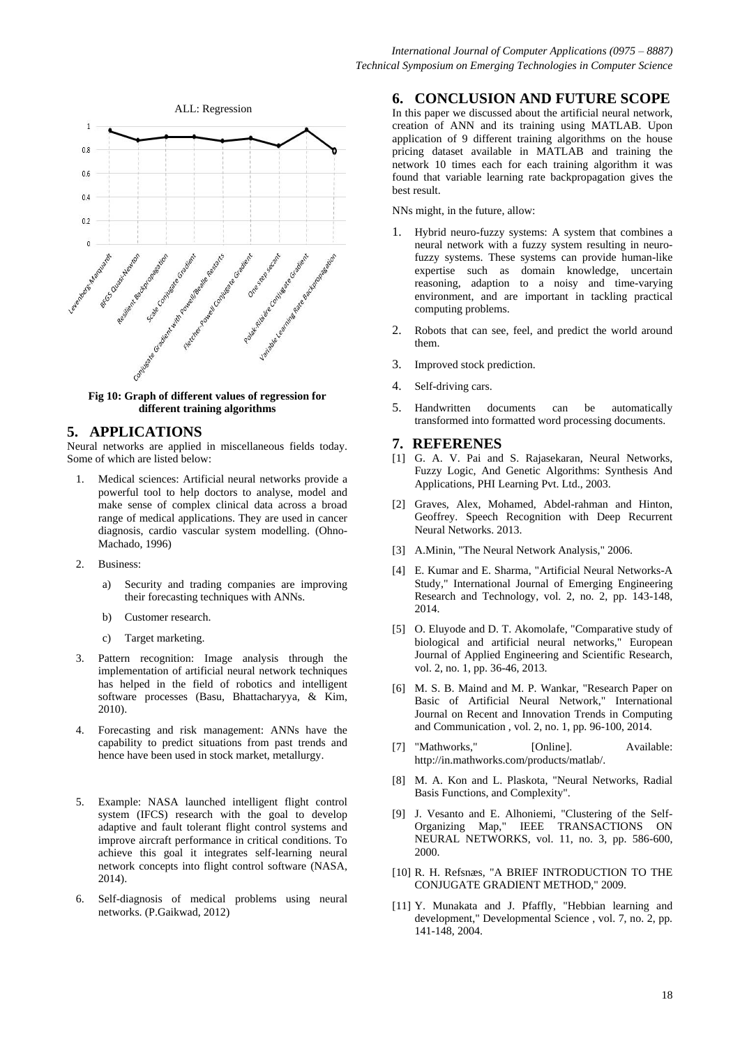

**Fig 10: Graph of different values of regression for different training algorithms**

### **5. APPLICATIONS**

Neural networks are applied in miscellaneous fields today. Some of which are listed below:

- 1. Medical sciences: Artificial neural networks provide a powerful tool to help doctors to analyse, model and make sense of complex clinical data across a broad range of medical applications. They are used in cancer diagnosis, cardio vascular system modelling. (Ohno-Machado, 1996)
- 2. Business:
	- a) Security and trading companies are improving their forecasting techniques with ANNs.
	- b) Customer research.
	- c) Target marketing.
- 3. Pattern recognition: Image analysis through the implementation of artificial neural network techniques has helped in the field of robotics and intelligent software processes (Basu, Bhattacharyya, & Kim, 2010).
- 4. Forecasting and risk management: ANNs have the capability to predict situations from past trends and hence have been used in stock market, metallurgy.
- 5. Example: NASA launched intelligent flight control system (IFCS) research with the goal to develop adaptive and fault tolerant flight control systems and improve aircraft performance in critical conditions. To achieve this goal it integrates self-learning neural network concepts into flight control software (NASA, 2014).
- 6. Self-diagnosis of medical problems using neural networks. (P.Gaikwad, 2012)

## **6. CONCLUSION AND FUTURE SCOPE**

In this paper we discussed about the artificial neural network, creation of ANN and its training using MATLAB. Upon application of 9 different training algorithms on the house pricing dataset available in MATLAB and training the network 10 times each for each training algorithm it was found that variable learning rate backpropagation gives the best result.

NNs might, in the future, allow:

- Hybrid neuro-fuzzy systems: A system that combines a neural network with a fuzzy system resulting in neurofuzzy systems. These systems can provide human-like expertise such as domain knowledge, uncertain reasoning, adaption to a noisy and time-varying environment, and are important in tackling practical computing problems.
- 2. Robots that can see, feel, and predict the world around them.
- 3. Improved stock prediction.
- 4. Self-driving cars.
- 5. Handwritten documents can be automatically transformed into formatted word processing documents.

#### **7. REFERENES**

- [1] G. A. V. Pai and S. Rajasekaran, Neural Networks, Fuzzy Logic, And Genetic Algorithms: Synthesis And Applications, PHI Learning Pvt. Ltd., 2003.
- [2] Graves, Alex, Mohamed, Abdel-rahman and Hinton, Geoffrey. Speech Recognition with Deep Recurrent Neural Networks. 2013.
- [3] A.Minin, "The Neural Network Analysis," 2006.
- [4] E. Kumar and E. Sharma, "Artificial Neural Networks-A Study," International Journal of Emerging Engineering Research and Technology, vol. 2, no. 2, pp. 143-148, 2014.
- [5] O. Eluyode and D. T. Akomolafe, "Comparative study of biological and artificial neural networks," European Journal of Applied Engineering and Scientific Research, vol. 2, no. 1, pp. 36-46, 2013.
- [6] M. S. B. Maind and M. P. Wankar, "Research Paper on Basic of Artificial Neural Network," International Journal on Recent and Innovation Trends in Computing and Communication , vol. 2, no. 1, pp. 96-100, 2014.
- [7] "Mathworks," [Online]. Available: http://in.mathworks.com/products/matlab/.
- [8] M. A. Kon and L. Plaskota, "Neural Networks, Radial Basis Functions, and Complexity".
- [9] J. Vesanto and E. Alhoniemi, "Clustering of the Self-Organizing Map," IEEE TRANSACTIONS ON NEURAL NETWORKS, vol. 11, no. 3, pp. 586-600, 2000.
- [10] R. H. Refsnæs, "A BRIEF INTRODUCTION TO THE CONJUGATE GRADIENT METHOD," 2009.
- [11] Y. Munakata and J. Pfaffly, "Hebbian learning and development," Developmental Science , vol. 7, no. 2, pp. 141-148, 2004.